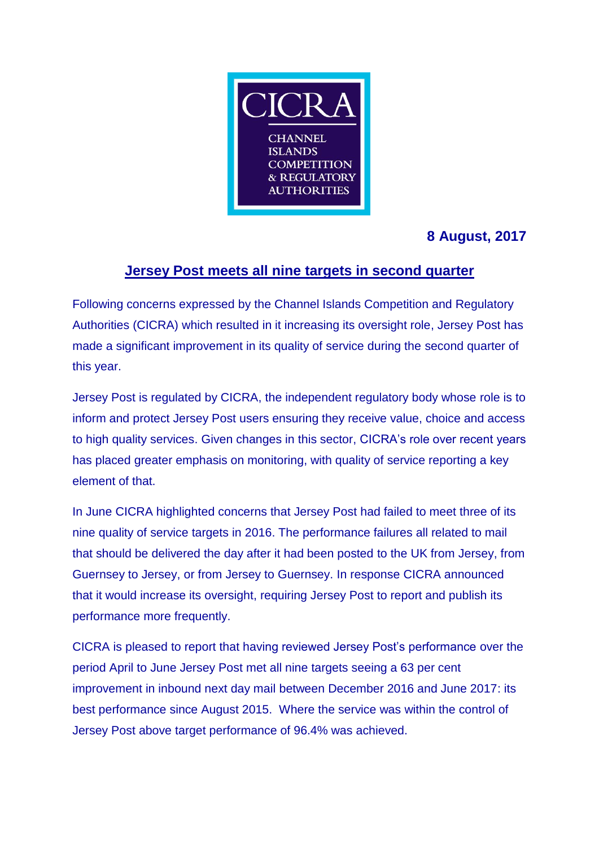

# **8 August, 2017**

## **Jersey Post meets all nine targets in second quarter**

Following concerns expressed by the Channel Islands Competition and Regulatory Authorities (CICRA) which resulted in it increasing its oversight role, Jersey Post has made a significant improvement in its quality of service during the second quarter of this year.

Jersey Post is regulated by CICRA, the independent regulatory body whose role is to inform and protect Jersey Post users ensuring they receive value, choice and access to high quality services. Given changes in this sector, CICRA's role over recent years has placed greater emphasis on monitoring, with quality of service reporting a key element of that.

In June CICRA highlighted concerns that Jersey Post had failed to meet three of its nine quality of service targets in 2016. The performance failures all related to mail that should be delivered the day after it had been posted to the UK from Jersey, from Guernsey to Jersey, or from Jersey to Guernsey. In response CICRA announced that it would increase its oversight, requiring Jersey Post to report and publish its performance more frequently.

CICRA is pleased to report that having reviewed Jersey Post's performance over the period April to June Jersey Post met all nine targets seeing a 63 per cent improvement in inbound next day mail between December 2016 and June 2017: its best performance since August 2015. Where the service was within the control of Jersey Post above target performance of 96.4% was achieved.